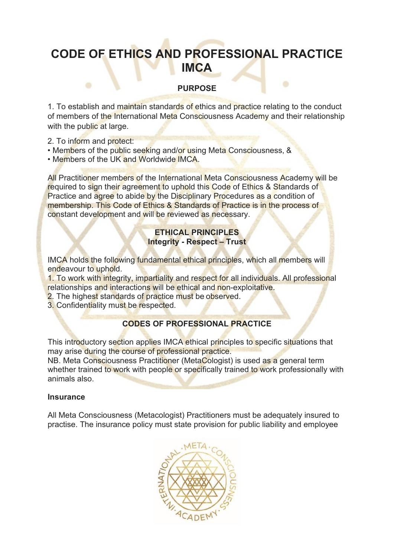# **CODE OF ETHICS AND PROFESSIONAL PRACTICE IMCA**

## **PURPOSE**

۰

1. To establish and maintain standards of ethics and practice relating to the conduct of members of the International Meta Consciousness Academy and their relationship with the public at large.

2. To inform and protect:

 $\blacksquare$ 

- Members of the public seeking and/or using Meta Consciousness, &
- Members of the UK and Worldwide IMCA.

All Practitioner members of the International Meta Consciousness Academy will be required to sign their agreement to uphold this Code of Ethics & Standards of Practice and agree to abide by the Disciplinary Procedures as a condition of membership. This Code of Ethics & Standards of Practice is in the process of constant development and will be reviewed as necessary.

## **ETHICAL PRINCIPLES Integrity - Respect – Trust**

IMCA holds the following fundamental ethical principles, which all members will endeavour to uphold.

1. To work with integrity, impartiality and respect for all individuals. All professional relationships and interactions will be ethical and non-exploitative.

- 2. The highest standards of practice must be observed.
- 3. Confidentiality must be respected.

# **CODES OF PROFESSIONAL PRACTICE**

This introductory section applies IMCA ethical principles to specific situations that may arise during the course of professional practice.

NB. Meta Consciousness Practitioner (MetaCologist) is used as a general term whether trained to work with people or specifically trained to work professionally with animals also.

#### **Insurance**

All Meta Consciousness (Metacologist) Practitioners must be adequately insured to practise. The insurance policy must state provision for public liability and employee

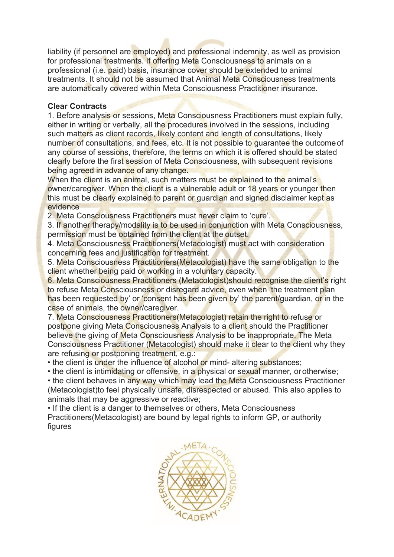liability (if personnel are employed) and professional indemnity, as well as provision for professional treatments. If offering Meta Consciousness to animals on a professional (i.e. paid) basis, insurance cover should be extended to animal treatments. It should not be assumed that Animal Meta Consciousness treatments are automatically covered within Meta Consciousness Practitioner insurance.

#### **Clear Contracts**

1. Before analysis or sessions, Meta Consciousness Practitioners must explain fully, either in writing or verbally, all the procedures involved in the sessions, including such matters as client records, likely content and length of consultations, likely number of consultations, and fees, etc. It is not possible to quarantee the outcome of any course of sessions, therefore, the terms on which it is offered should be stated clearly before the first session of Meta Consciousness, with subsequent revisions being agreed in advance of any change.

When the client is an animal, such matters must be explained to the animal's owner/caregiver. When the client is a vulnerable adult or 18 years or younger then this must be clearly explained to parent or guardian and signed disclaimer kept as evidence

2. Meta Consciousness Practitioners must never claim to ʻcure'.

3. If another therapy/modality is to be used in conjunction with Meta Consciousness, permission must be obtained from the client at the outset.

4. Meta Consciousness Practitioners(Metacologist) must act with consideration concerning fees and justification for treatment.

5. Meta Consciousness Practitioners(Metacologist) have the same obligation to the client whether being paid or working in a voluntary capacity.

6. Meta Consciousness Practitioners (Metacologist)should recognise the client's right to refuse Meta Consciousness or disregard advice, even when 'the treatment plan has been requested by' or 'consent has been given by' the parent/guardian, or in the case of animals, the owner/caregiver.

7. Meta Consciousness Practitioners(Metacologist) retain the right to refuse or postpone giving Meta Consciousness Analysis to a client should the Practitioner believe the giving of Meta Consciousness Analysis to be inappropriate. The Meta Consciousness Practitioner (Metacologist) should make it clear to the client why they are refusing or postponing treatment, e.g.:

• the client is under the influence of alcohol or mind- altering substances;

• the client is intimidating or offensive, in a physical or sexual manner, or otherwise;

• the client behaves in any way which may lead the Meta Consciousness Practitioner (Metacologist)to feel physically unsafe, disrespected or abused. This also applies to animals that may be aggressive or reactive;

• If the client is a danger to themselves or others, Meta Consciousness Practitioners(Metacologist) are bound by legal rights to inform GP, or authority figures

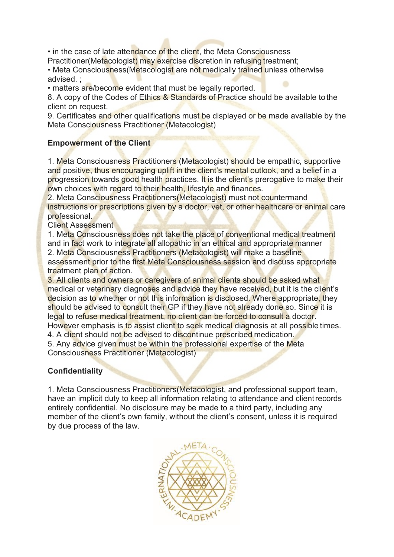• in the case of late attendance of the client, the Meta Consciousness Practitioner(Metacologist) may exercise discretion in refusing treatment;

• Meta Consciousness (Metacologist are not medically trained unless otherwise advised. ;

• matters are/become evident that must be legally reported.

8. A copy of the Codes of Ethics & Standards of Practice should be available to the client on request.

9. Certificates and other qualifications must be displayed or be made available by the Meta Consciousness Practitioner (Metacologist)

# **Empowerment of the Client**

1. Meta Consciousness Practitioners (Metacologist) should be empathic, supportive and positive, thus encouraging uplift in the client's mental outlook, and a belief in a progression towards good health practices. It is the client's prerogative to make their own choices with regard to their health, lifestyle and finances.

2. Meta Consciousness Practitioners(Metacologist) must not countermand instructions or prescriptions given by a doctor, vet, or other healthcare or animal care professional.

Client Assessment

1. Meta Consciousness does not take the place of conventional medical treatment and in fact work to integrate all allopathic in an ethical and appropriate manner 2. Meta Consciousness Practitioners (Metacologist) will make a baseline assessment prior to the first Meta Consciousness session and discuss appropriate treatment plan of action.

3. All clients and owners or caregivers of animal clients should be asked what medical or veterinary diagnoses and advice they have received, but it is the client's decision as to whether or not this information is disclosed. Where appropriate, they should be advised to consult their GP if they have not already done so. Since it is legal to refuse medical treatment, no client can be forced to consult a doctor. However emphasis is to assist client to seek medical diagnosis at all possible times.

4. A client should not be advised to discontinue prescribed medication.

5. Any advice given must be within the professional expertise of the Meta Consciousness Practitioner (Metacologist)

# **Confidentiality**

1. Meta Consciousness Practitioners(Metacologist, and professional support team, have an implicit duty to keep all information relating to attendance and clientrecords entirely confidential. No disclosure may be made to a third party, including any member of the client's own family, without the client's consent, unless it is required by due process of the law.

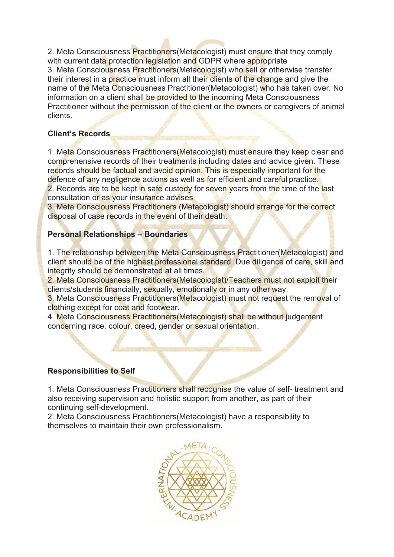2. Meta Consciousness Practitioners (Metacologist) must ensure that they comply with current data protection legislation and GDPR where appropriate 3. Meta Consciousness Practitioners(Metacologist) who sell or otherwise transfer their interest in a practice must inform all their clients of the change and give the name of the Meta Consciousness Practitioner(Metacologist) who has taken over. No information on a client shall be provided to the incoming Meta Consciousness Practitioner without the permission of the client or the owners or caregivers of animal clients.

# **Client's Records**

1. Meta Consciousness Practitioners (Metacologist) must ensure they keep clear and comprehensive records of their treatments including dates and advice given. These records should be factual and avoid opinion. This is especially important for the defence of any negligence actions as well as for efficient and careful practice.

2. Records are to be kept in safe custody for seven years from the time of the last consultation or as your insurance advises

3. Meta Consciousness Practitioners (Metacologist) should arrange for the correct disposal of case records in the event of their death.

#### **Personal Relationships – Boundaries**

1. The relationship between the Meta Consciousness Practitioner (Metacologist) and client should be of the highest professional standard. Due diligence of care, skill and integrity should be demonstrated at all times.

2. Meta Consciousness Practitioners (Metacologist) Teachers must not exploit their clients/students financially, sexually, emotionally or in any other way.

3. Meta Consciousness Practitioners(Metacologist) must not request the removal of clothing except for coat and footwear.

4. Meta Consciousness Practitioners(Metacologist) shall be without judgement concerning race, colour, creed, gender or sexual orientation.

#### **Responsibilities to Self**

1. Meta Consciousness Practitioners shall recognise the value of self- treatment and also receiving supervision and holistic support from another, as part of their continuing self-development.

2. Meta Consciousness Practitioners(Metacologist) have a responsibility to themselves to maintain their own professionalism.

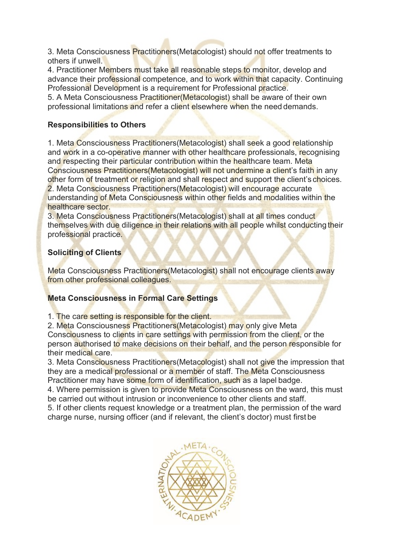3. Meta Consciousness Practitioners(Metacologist) should not offer treatments to others if unwell.

4. Practitioner Members must take all reasonable steps to monitor, develop and advance their professional competence, and to work within that capacity. Continuing Professional Development is a requirement for Professional practice.

5. A Meta Consciousness Practitioner(Metacologist) shall be aware of their own professional limitations and refer a client elsewhere when the need demands.

# **Responsibilities to Others**

1. Meta Consciousness Practitioners(Metacologist) shall seek a good relationship and work in a co-operative manner with other healthcare professionals, recognising and respecting their particular contribution within the healthcare team. Meta Consciousness Practitioners(Metacologist) will not undermine a client's faith in any other form of treatment or religion and shall respect and support the client's choices. 2. Meta Consciousness Practitioners(Metacologist) will encourage accurate understanding of Meta Consciousness within other fields and modalities within the

healthcare sector.

3. Meta Consciousness Practitioners(Metacologist) shall at all times conduct themselves with due diligence in their relations with all people whilst conducting their professional practice.

# **Soliciting of Clients**

Meta Consciousness Practitioners (Metacologist) shall not encourage clients away from other professional colleagues.

#### **Meta Consciousness in Formal Care Settings**

1. The care setting is responsible for the client.

2. Meta Consciousness Practitioners (Metacologist) may only give Meta Consciousness to clients in care settings with permission from the client, or the person authorised to make decisions on their behalf, and the person responsible for their medical care.

3. Meta Consciousness Practitioners(Metacologist) shall not give the impression that they are a medical professional or a member of staff. The Meta Consciousness Practitioner may have some form of identification, such as a lapel badge.

4. Where permission is given to provide Meta Consciousness on the ward, this must be carried out without intrusion or inconvenience to other clients and staff.

5. If other clients request knowledge or a treatment plan, the permission of the ward charge nurse, nursing officer (and if relevant, the client's doctor) must first be

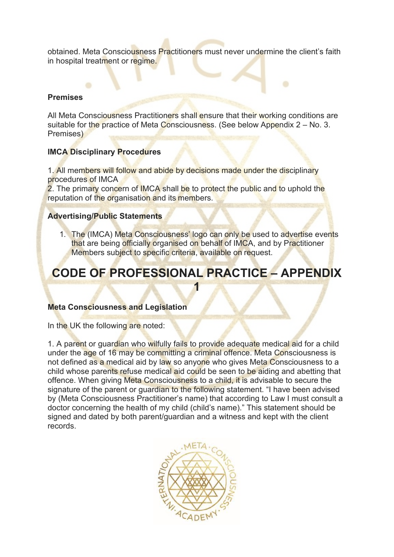obtained. Meta Consciousness Practitioners must never undermine the client's faith in hospital treatment or regime.

۰

#### **Premises**

All Meta Consciousness Practitioners shall ensure that their working conditions are suitable for the practice of Meta Consciousness. (See below Appendix  $2 - No$ . 3. Premises)

#### **IMCA Disciplinary Procedures**

1. All members will follow and abide by decisions made under the disciplinary procedures of IMCA

2. The primary concern of IMCA shall be to protect the public and to uphold the reputation of the organisation and its members.

#### **Advertising/Public Statements**

1. The (IMCA) Meta Consciousness' logo can only be used to advertise events that are being officially organised on behalf of IMCA, and by Practitioner Members subject to specific criteria, available on request.

# **CODE OF PROFESSIONAL PRACTICE – APPENDIX 1**

#### **Meta Consciousness and Legislation**

In the UK the following are noted:

1. A parent or guardian who wilfully fails to provide adequate medical aid for a child under the age of 16 may be committing a criminal offence. Meta Consciousness is not defined as a medical aid by law so anyone who gives Meta Consciousness to a child whose parents refuse medical aid could be seen to be aiding and abetting that offence. When giving Meta Consciousness to a child, it is advisable to secure the signature of the parent or guardian to the following statement. "I have been advised by (Meta Consciousness Practitioner's name) that according to Law I must consult a doctor concerning the health of my child (child's name)." This statement should be signed and dated by both parent/guardian and a witness and kept with the client records.

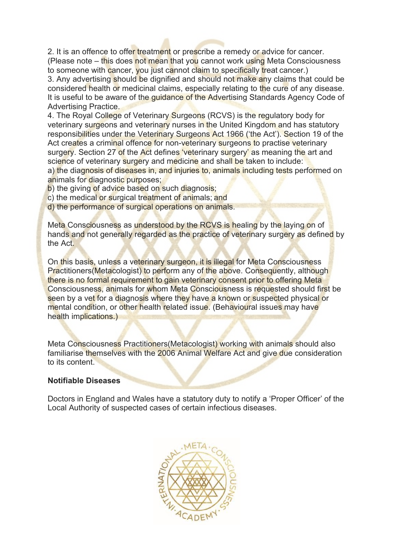2. It is an offence to offer treatment or prescribe a remedy or advice for cancer. (Please note – this does not mean that you cannot work using Meta Consciousness to someone with cancer, you just cannot claim to specifically treat cancer.) 3. Any advertising should be dignified and should not make any claims that could be

considered health or medicinal claims, especially relating to the cure of any disease. It is useful to be aware of the guidance of the Advertising Standards Agency Code of Advertising Practice.

4. The Royal College of Veterinary Surgeons (RCVS) is the regulatory body for veterinary surgeons and veterinary nurses in the United Kingdom and has statutory responsibilities under the Veterinary Surgeons Act 1966 (ʻthe Act'). Section 19 of the Act creates a criminal offence for non-veterinary surgeons to practise veterinary surgery. Section 27 of the Act defines 'veterinary surgery' as meaning the art and science of veterinary surgery and medicine and shall be taken to include: a) the diagnosis of diseases in, and injuries to, animals including tests performed on animals for diagnostic purposes;

b) the giving of advice based on such diagnosis;

- c) the medical or surgical treatment of animals; and
- d) the performance of surgical operations on animals.

Meta Consciousness as understood by the RCVS is healing by the laying on of hands and not generally regarded as the practice of veterinary surgery as defined by the Act.

On this basis, unless a veterinary surgeon, it is illegal for Meta Consciousness Practitioners(Metacologist) to perform any of the above. Consequently, although there is no formal requirement to gain veterinary consent prior to offering Meta Consciousness, animals for whom Meta Consciousness is requested should first be seen by a vet for a diagnosis where they have a known or suspected physical or mental condition, or other health related issue. (Behavioural issues may have health implications.)

Meta Consciousness Practitioners(Metacologist) working with animals should also familiarise themselves with the 2006 Animal Welfare Act and give due consideration to its content.

#### **Notifiable Diseases**

Doctors in England and Wales have a statutory duty to notify a ʻProper Officer' of the Local Authority of suspected cases of certain infectious diseases.

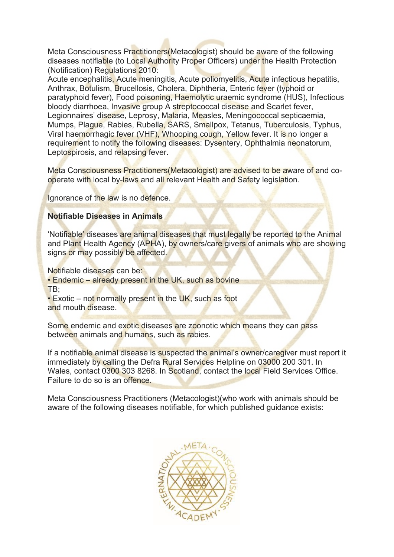Meta Consciousness Practitioners(Metacologist) should be aware of the following diseases notifiable (to Local Authority Proper Officers) under the Health Protection (Notification) Regulations 2010:

Acute encephalitis, Acute meningitis, Acute poliomyelitis, Acute infectious hepatitis, Anthrax, Botulism, Brucellosis, Cholera, Diphtheria, Enteric fever (typhoid or paratyphoid fever), Food poisoning, Haemolytic uraemic syndrome (HUS), Infectious bloody diarrhoea, Invasive group A streptococcal disease and Scarlet fever, Legionnaires' disease, Leprosy, Malaria, Measles, Meningococcal septicaemia, Mumps, Plague, Rabies, Rubella, SARS, Smallpox, Tetanus, Tuberculosis, Typhus, Viral haemorrhagic fever (VHF), Whooping cough, Yellow fever. It is no longer a requirement to notify the following diseases: Dysentery, Ophthalmia neonatorum, Leptospirosis, and relapsing fever.

Meta Consciousness Practitioners(Metacologist) are advised to be aware of and cooperate with local by-laws and all relevant Health and Safety legislation.

Ignorance of the law is no defence.

#### **Notifiable Diseases in Animals**

ʻNotifiable' diseases are animal diseases that must legally be reported to the Animal and Plant Health Agency (APHA), by owners/care givers of animals who are showing signs or may possibly be affected.

Notifiable diseases can be:

• Endemic – already present in the UK, such as bovine TB;

• Exotic – not normally present in the UK, such as foot and mouth disease.

Some endemic and exotic diseases are zoonotic which means they can pass between animals and humans, such as rabies.

If a notifiable animal disease is suspected the animal's owner/caregiver must report it immediately by calling the Defra Rural Services Helpline on 03000 200 301. In Wales, contact 0300 303 8268. In Scotland, contact the local Field Services Office. Failure to do so is an offence.

Meta Consciousness Practitioners (Metacologist)(who work with animals should be aware of the following diseases notifiable, for which published guidance exists:

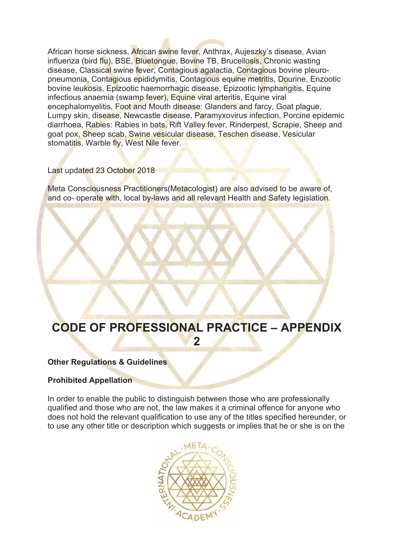African horse sickness, African swine fever, Anthrax, Aujeszky's disease, Avian influenza (bird flu), BSE, Bluetongue, Bovine TB, Brucellosis, Chronic wasting disease, Classical swine fever, Contagious agalactia, Contagious bovine pleuropneumonia, Contagious epididymitis, Contagious equine metritis, Dourine, Enzootic bovine leukosis, Epizootic haemorrhagic disease, Epizootic lymphangitis, Equine infectious anaemia (swamp fever), Equine viral arteritis, Equine viral encephalomyelitis, Foot and Mouth disease: Glanders and farcy, Goat plague, Lumpy skin, disease, Newcastle disease, Paramyxovirus infection, Porcine epidemic diarrhoea, Rabies: Rabies in bats, Rift Valley fever, Rinderpest, Scrapie, Sheep and goat pox, Sheep scab, Swine vesicular disease, Teschen disease, Vesicular stomatitis, Warble fly, West Nile fever.

#### Last updated 23 October 2018

Meta Consciousness Practitioners(Metacologist) are also advised to be aware of, and co- operate with, local by-laws and all relevant Health and Safety legislation.

# **CODE OF PROFESSIONAL PRACTICE – APPENDIX 2**

#### **Other Regulations & Guidelines**

#### **Prohibited Appellation**

In order to enable the public to distinguish between those who are professionally qualified and those who are not, the law makes it a criminal offence for anyone who does not hold the relevant qualification to use any of the titles specified hereunder, or to use any other title or description which suggests or implies that he or she is on the

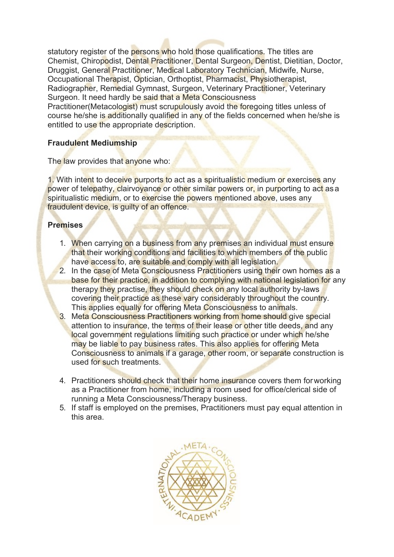statutory register of the persons who hold those qualifications. The titles are Chemist, Chiropodist, Dental Practitioner, Dental Surgeon, Dentist, Dietitian, Doctor, Druggist, General Practitioner, Medical Laboratory Technician, Midwife, Nurse, Occupational Therapist, Optician, Orthoptist, Pharmacist, Physiotherapist, Radiographer, Remedial Gymnast, Surgeon, Veterinary Practitioner, Veterinary Surgeon. It need hardly be said that a Meta Consciousness

Practitioner(Metacologist) must scrupulously avoid the foregoing titles unless of course he/she is additionally qualified in any of the fields concerned when he/she is entitled to use the appropriate description.

# **Fraudulent Mediumship**

The law provides that anyone who:

1. With intent to deceive purports to act as a spiritualistic medium or exercises any power of telepathy, clairvoyance or other similar powers or, in purporting to act as a spiritualistic medium, or to exercise the powers mentioned above, uses any fraudulent device, is guilty of an offence.

# **Premises**

- 1. When carrying on a business from any premises an individual must ensure that their working conditions and facilities to which members of the public have access to, are suitable and comply with all legislation.
- 2. In the case of Meta Consciousness Practitioners using their own homes as a base for their practice, in addition to complying with national legislation for any therapy they practise, they should check on any local authority by-laws covering their practice as these vary considerably throughout the country. This applies equally for offering Meta Consciousness to animals.
- 3. Meta Consciousness Practitioners working from home should give special attention to insurance, the terms of their lease or other title deeds, and any local government regulations limiting such practice or under which he/she may be liable to pay business rates. This also applies for offering Meta Consciousness to animals if a garage, other room, or separate construction is used for such treatments.
- 4. Practitioners should check that their home insurance covers them for working as a Practitioner from home, including a room used for office/clerical side of running a Meta Consciousness/Therapy business.
- 5. If staff is employed on the premises, Practitioners must pay equal attention in this area.